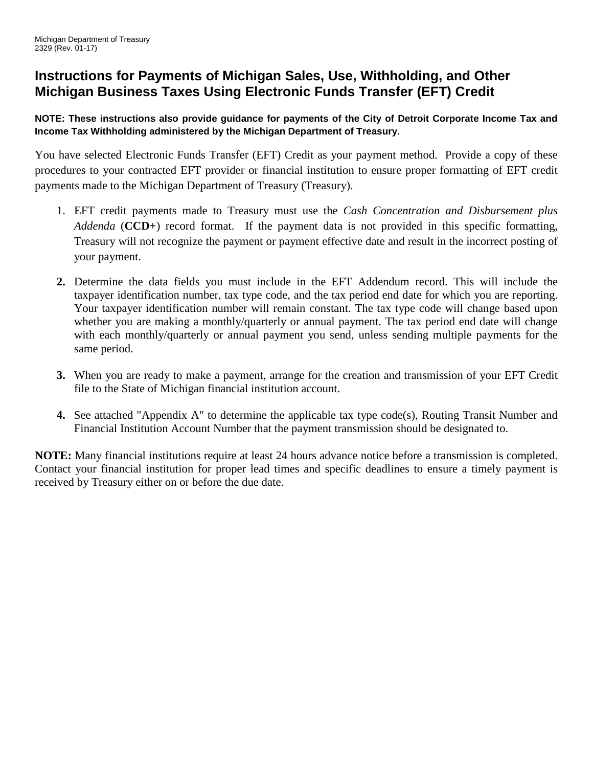# **Instructions for Payments of Michigan Sales, Use, Withholding, and Other Michigan Business Taxes Using Electronic Funds Transfer (EFT) Credit**

## **NOTE: These instructions also provide guidance for payments of the City of Detroit Corporate Income Tax and Income Tax Withholding administered by the Michigan Department of Treasury.**

You have selected Electronic Funds Transfer (EFT) Credit as your payment method. Provide a copy of these procedures to your contracted EFT provider or financial institution to ensure proper formatting of EFT credit payments made to the Michigan Department of Treasury (Treasury).

- 1. EFT credit payments made to Treasury must use the *Cash Concentration and Disbursement plus Addenda* (**CCD+**) record format. If the payment data is not provided in this specific formatting, Treasury will not recognize the payment or payment effective date and result in the incorrect posting of your payment.
- **2.** Determine the data fields you must include in the EFT Addendum record. This will include the taxpayer identification number, tax type code, and the tax period end date for which you are reporting. Your taxpayer identification number will remain constant. The tax type code will change based upon whether you are making a monthly/quarterly or annual payment. The tax period end date will change with each monthly/quarterly or annual payment you send, unless sending multiple payments for the same period.
- **3.** When you are ready to make a payment, arrange for the creation and transmission of your EFT Credit file to the State of Michigan financial institution account.
- **4.** See attached "Appendix A" to determine the applicable tax type code(s), Routing Transit Number and Financial Institution Account Number that the payment transmission should be designated to.

**NOTE:** Many financial institutions require at least 24 hours advance notice before a transmission is completed. Contact your financial institution for proper lead times and specific deadlines to ensure a timely payment is received by Treasury either on or before the due date.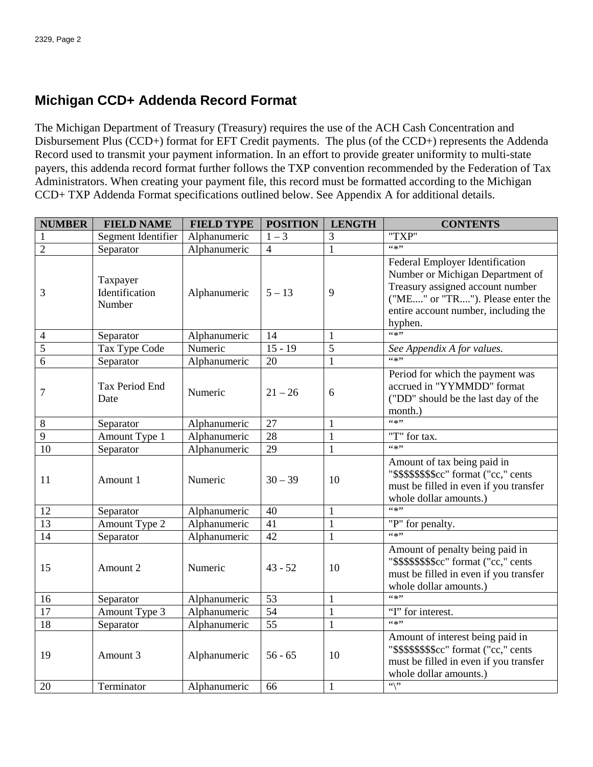## **Michigan CCD+ Addenda Record Format**

The Michigan Department of Treasury (Treasury) requires the use of the ACH Cash Concentration and Disbursement Plus (CCD+) format for EFT Credit payments. The plus (of the CCD+) represents the Addenda Record used to transmit your payment information. In an effort to provide greater uniformity to multi-state payers, this addenda record format further follows the TXP convention recommended by the Federation of Tax Administrators. When creating your payment file, this record must be formatted according to the Michigan CCD+ TXP Addenda Format specifications outlined below. See Appendix A for additional details.

| <b>NUMBER</b>   | <b>FIELD NAME</b>                    | <b>FIELD TYPE</b> | <b>POSITION</b> | <b>LENGTH</b> | <b>CONTENTS</b>                                                                                                                                                                                |  |  |  |
|-----------------|--------------------------------------|-------------------|-----------------|---------------|------------------------------------------------------------------------------------------------------------------------------------------------------------------------------------------------|--|--|--|
| 1               | Segment Identifier                   | Alphanumeric      | $1 - 3$         | 3             | "TXP"                                                                                                                                                                                          |  |  |  |
| $\overline{2}$  | Separator                            | Alphanumeric      | $\overline{4}$  | $\mathbf{1}$  | (4, 3)                                                                                                                                                                                         |  |  |  |
| 3               | Taxpayer<br>Identification<br>Number | Alphanumeric      | $5 - 13$        | 9             | Federal Employer Identification<br>Number or Michigan Department of<br>Treasury assigned account number<br>("ME" or "TR"). Please enter the<br>entire account number, including the<br>hyphen. |  |  |  |
| $\overline{4}$  | Separator                            | Alphanumeric      | 14              | 1             | (4, 3)                                                                                                                                                                                         |  |  |  |
| $\overline{5}$  | Tax Type Code                        | Numeric           | $15 - 19$       | 5             | See Appendix A for values.                                                                                                                                                                     |  |  |  |
| $\overline{6}$  | Separator                            | Alphanumeric      | 20              | $\mathbf{1}$  | (4, 3)                                                                                                                                                                                         |  |  |  |
| 7               | Tax Period End<br>Date               | Numeric           | $21 - 26$       | 6             | Period for which the payment was<br>accrued in "YYMMDD" format<br>("DD" should be the last day of the<br>month.)                                                                               |  |  |  |
| 8               | Separator                            | Alphanumeric      | 27              | $\mathbf{1}$  | $66*22$                                                                                                                                                                                        |  |  |  |
| $\overline{9}$  | Amount Type 1                        | Alphanumeric      | 28              | $\mathbf{1}$  | "T" for tax.                                                                                                                                                                                   |  |  |  |
| 10              | Separator                            | Alphanumeric      | 29              | $\mathbf{1}$  | (4, 3)                                                                                                                                                                                         |  |  |  |
| 11              | Amount 1                             | Numeric           | $30 - 39$       | 10            | Amount of tax being paid in<br>"\$\$\$\$\$\$\$\$\$cc" format ("cc," cents<br>must be filled in even if you transfer<br>whole dollar amounts.)                                                  |  |  |  |
| 12              | Separator                            | Alphanumeric      | 40              | $\mathbf{1}$  | $66*27$                                                                                                                                                                                        |  |  |  |
| $\overline{13}$ | Amount Type 2                        | Alphanumeric      | 41              | $\mathbf{1}$  | "P" for penalty.                                                                                                                                                                               |  |  |  |
| $\overline{14}$ | Separator                            | Alphanumeric      | 42              | $\mathbf{1}$  | (6, 1)                                                                                                                                                                                         |  |  |  |
| 15              | Amount 2                             | Numeric           | $43 - 52$       | 10            | Amount of penalty being paid in<br>"\$\$\$\$\$\$\$\$\$cc" format ("cc," cents<br>must be filled in even if you transfer<br>whole dollar amounts.)                                              |  |  |  |
| 16              | Separator                            | Alphanumeric      | 53              | $\mathbf{1}$  | $66*22$                                                                                                                                                                                        |  |  |  |
| $\overline{17}$ | Amount Type 3                        | Alphanumeric      | $\overline{54}$ | $\mathbf{1}$  | "I" for interest.                                                                                                                                                                              |  |  |  |
| 18              | Separator                            | Alphanumeric      | $\overline{55}$ | $\mathbf{1}$  | $(4*2)$                                                                                                                                                                                        |  |  |  |
| 19              | Amount 3                             | Alphanumeric      | $56 - 65$       | 10            | Amount of interest being paid in<br>"\$\$\$\$\$\$\$\$cc" format ("cc," cents<br>must be filled in even if you transfer<br>whole dollar amounts.)                                               |  |  |  |
| 20              | Terminator                           | Alphanumeric      | 66              | $\mathbf{1}$  | $\overline{\cdots}$                                                                                                                                                                            |  |  |  |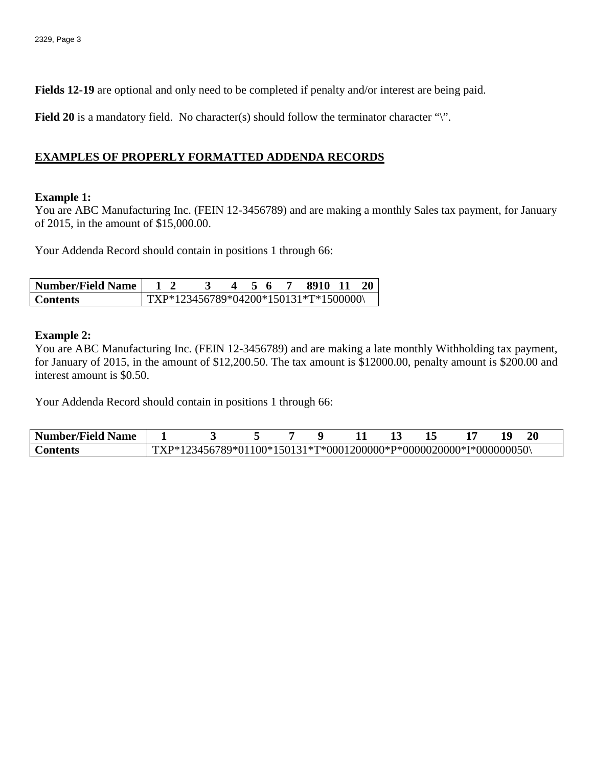**Fields 12-19** are optional and only need to be completed if penalty and/or interest are being paid.

**Field 20** is a mandatory field. No character(s) should follow the terminator character "\".

## **EXAMPLES OF PROPERLY FORMATTED ADDENDA RECORDS**

#### **Example 1:**

You are ABC Manufacturing Inc. (FEIN 12-3456789) and are making a monthly Sales tax payment, for January of 2015, in the amount of \$15,000.00.

Your Addenda Record should contain in positions 1 through 66:

| <b>Number/Field Name</b> |  |                                        |  |  | 8910 11 |  |
|--------------------------|--|----------------------------------------|--|--|---------|--|
| <b>Contents</b>          |  | $TXP*123456789*04200*150131*T*1500000$ |  |  |         |  |

#### **Example 2:**

You are ABC Manufacturing Inc. (FEIN 12-3456789) and are making a late monthly Withholding tax payment, for January of 2015, in the amount of \$12,200.50. The tax amount is \$12000.00, penalty amount is \$200.00 and interest amount is \$0.50.

Your Addenda Record should contain in positions 1 through 66:

| Number/Field<br>Name |    |               |  |                                                |  |  | $20\,$ |  |
|----------------------|----|---------------|--|------------------------------------------------|--|--|--------|--|
| `∩ntents             | D* | 56789*01100*1 |  | *150131*T*0001200000*P*0000020000*I*000000050\ |  |  |        |  |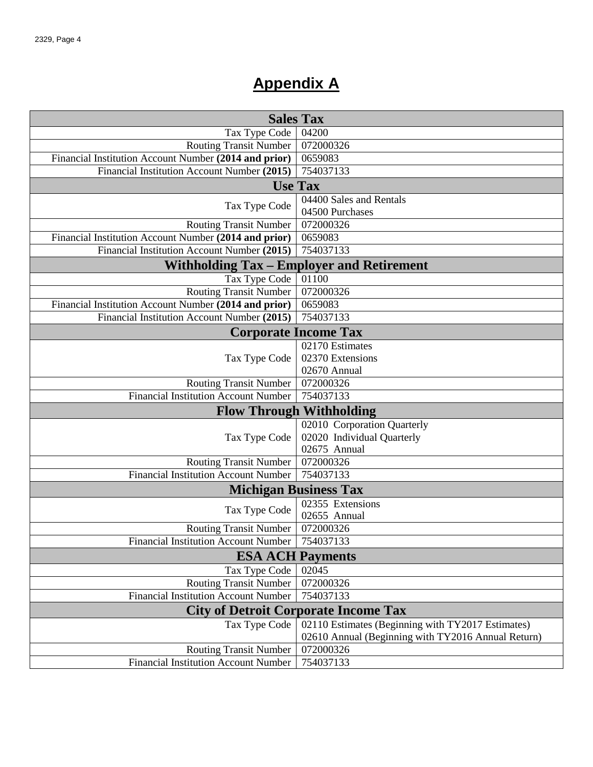# **Appendix A**

| <b>Sales Tax</b>                                      |                                                    |  |  |  |  |  |  |
|-------------------------------------------------------|----------------------------------------------------|--|--|--|--|--|--|
| Tax Type Code                                         | 04200                                              |  |  |  |  |  |  |
| <b>Routing Transit Number</b>                         | 072000326                                          |  |  |  |  |  |  |
| Financial Institution Account Number (2014 and prior) | 0659083                                            |  |  |  |  |  |  |
| Financial Institution Account Number (2015)           | 754037133                                          |  |  |  |  |  |  |
| <b>Use Tax</b>                                        |                                                    |  |  |  |  |  |  |
|                                                       | 04400 Sales and Rentals                            |  |  |  |  |  |  |
| Tax Type Code                                         | 04500 Purchases                                    |  |  |  |  |  |  |
| <b>Routing Transit Number</b>                         | 072000326                                          |  |  |  |  |  |  |
| Financial Institution Account Number (2014 and prior) | 0659083                                            |  |  |  |  |  |  |
| Financial Institution Account Number (2015)           | 754037133                                          |  |  |  |  |  |  |
|                                                       | <b>Withholding Tax – Employer and Retirement</b>   |  |  |  |  |  |  |
| Tax Type Code                                         | 01100                                              |  |  |  |  |  |  |
| <b>Routing Transit Number</b>                         | 072000326                                          |  |  |  |  |  |  |
| Financial Institution Account Number (2014 and prior) | 0659083                                            |  |  |  |  |  |  |
| Financial Institution Account Number (2015)           | 754037133                                          |  |  |  |  |  |  |
|                                                       | <b>Corporate Income Tax</b>                        |  |  |  |  |  |  |
|                                                       | 02170 Estimates                                    |  |  |  |  |  |  |
| Tax Type Code                                         | 02370 Extensions                                   |  |  |  |  |  |  |
|                                                       | 02670 Annual                                       |  |  |  |  |  |  |
| <b>Routing Transit Number</b>                         | 072000326                                          |  |  |  |  |  |  |
| <b>Financial Institution Account Number</b>           | 754037133                                          |  |  |  |  |  |  |
| <b>Flow Through Withholding</b>                       |                                                    |  |  |  |  |  |  |
|                                                       | 02010 Corporation Quarterly                        |  |  |  |  |  |  |
| Tax Type Code                                         | 02020 Individual Quarterly                         |  |  |  |  |  |  |
|                                                       | 02675 Annual                                       |  |  |  |  |  |  |
| <b>Routing Transit Number</b>                         | 072000326                                          |  |  |  |  |  |  |
| <b>Financial Institution Account Number</b>           | 754037133                                          |  |  |  |  |  |  |
|                                                       | <b>Michigan Business Tax</b>                       |  |  |  |  |  |  |
| Tax Type Code                                         | 02355 Extensions                                   |  |  |  |  |  |  |
|                                                       | 02655 Annual                                       |  |  |  |  |  |  |
| <b>Routing Transit Number</b>                         | 072000326                                          |  |  |  |  |  |  |
| Financial Institution Account Number   754037133      |                                                    |  |  |  |  |  |  |
| <b>ESA ACH Payments</b>                               |                                                    |  |  |  |  |  |  |
| Tax Type Code                                         | 02045                                              |  |  |  |  |  |  |
| <b>Routing Transit Number</b>                         | 072000326                                          |  |  |  |  |  |  |
| <b>Financial Institution Account Number</b>           | 754037133                                          |  |  |  |  |  |  |
| <b>City of Detroit Corporate Income Tax</b>           |                                                    |  |  |  |  |  |  |
| Tax Type Code                                         | 02110 Estimates (Beginning with TY2017 Estimates)  |  |  |  |  |  |  |
|                                                       | 02610 Annual (Beginning with TY2016 Annual Return) |  |  |  |  |  |  |
| <b>Routing Transit Number</b>                         | 072000326                                          |  |  |  |  |  |  |
| <b>Financial Institution Account Number</b>           | 754037133                                          |  |  |  |  |  |  |